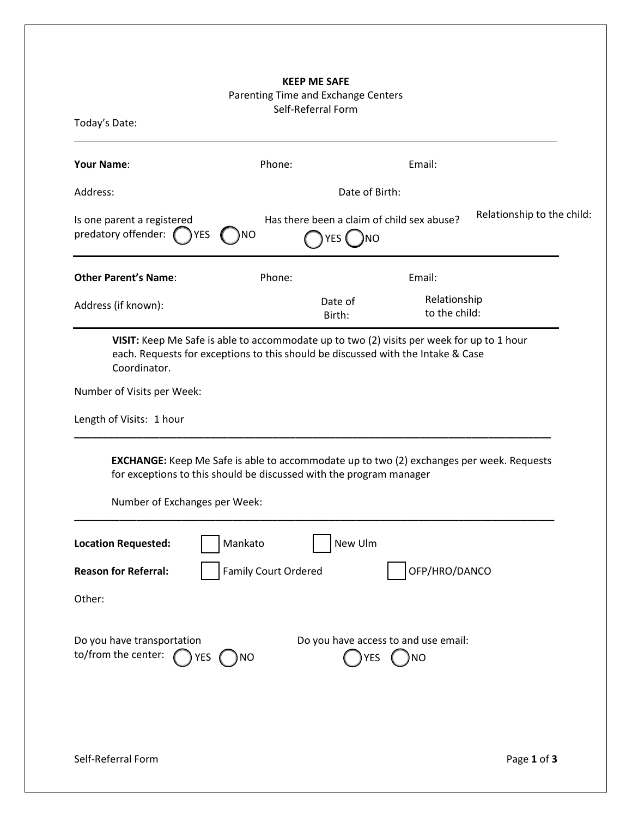## **KEEP ME SAFE**

## Parenting Time and Exchange Centers

Self-Referral Form

| <b>Your Name:</b>                                                                                                                                                                                       | Phone:               |                   | Email:                                            |                            |  |  |
|---------------------------------------------------------------------------------------------------------------------------------------------------------------------------------------------------------|----------------------|-------------------|---------------------------------------------------|----------------------------|--|--|
| Address:                                                                                                                                                                                                |                      | Date of Birth:    |                                                   |                            |  |  |
| Is one parent a registered<br>predatory offender:<br>YES                                                                                                                                                | )NO                  | YES<br><b>NO</b>  | Has there been a claim of child sex abuse?        | Relationship to the child: |  |  |
| <b>Other Parent's Name:</b>                                                                                                                                                                             | Phone:               |                   | Email:                                            |                            |  |  |
| Address (if known):                                                                                                                                                                                     |                      | Date of<br>Birth: | Relationship<br>to the child:                     |                            |  |  |
| VISIT: Keep Me Safe is able to accommodate up to two (2) visits per week for up to 1 hour<br>each. Requests for exceptions to this should be discussed with the Intake & Case<br>Coordinator.           |                      |                   |                                                   |                            |  |  |
| Number of Visits per Week:                                                                                                                                                                              |                      |                   |                                                   |                            |  |  |
| Length of Visits: 1 hour                                                                                                                                                                                |                      |                   |                                                   |                            |  |  |
| <b>EXCHANGE:</b> Keep Me Safe is able to accommodate up to two (2) exchanges per week. Requests<br>for exceptions to this should be discussed with the program manager<br>Number of Exchanges per Week: |                      |                   |                                                   |                            |  |  |
|                                                                                                                                                                                                         |                      |                   |                                                   |                            |  |  |
|                                                                                                                                                                                                         | Mankato              | New Ulm           |                                                   |                            |  |  |
|                                                                                                                                                                                                         | Family Court Ordered |                   | OFP/HRO/DANCO                                     |                            |  |  |
|                                                                                                                                                                                                         |                      |                   |                                                   |                            |  |  |
| TYES                                                                                                                                                                                                    | ΝO                   | <b>YES</b>        | Do you have access to and use email:<br><b>NO</b> |                            |  |  |
| <b>Location Requested:</b><br><b>Reason for Referral:</b><br>Other:<br>Do you have transportation<br>to/from the center:                                                                                |                      |                   |                                                   |                            |  |  |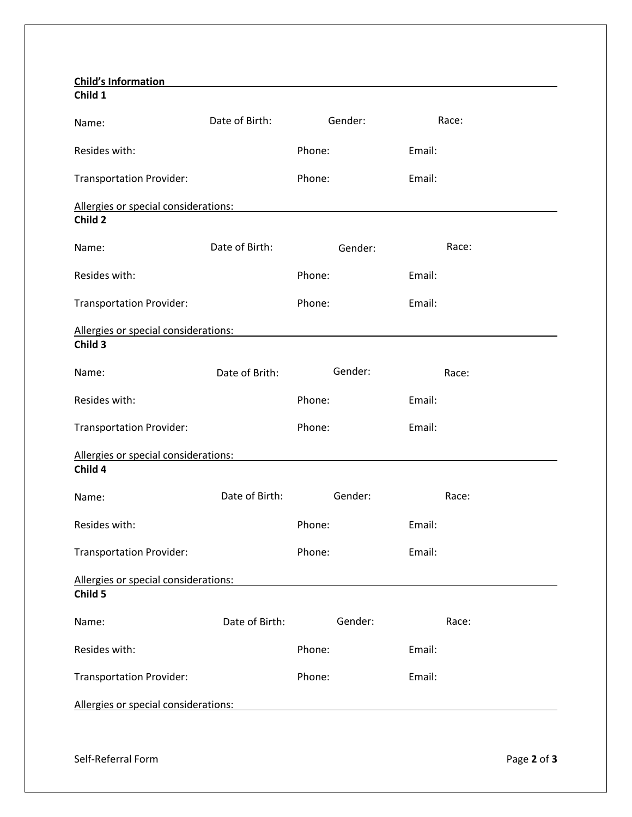| <b>Child's Information</b><br>Child 1           |                |         |        |       |  |  |  |
|-------------------------------------------------|----------------|---------|--------|-------|--|--|--|
| Name:                                           | Date of Birth: | Gender: |        | Race: |  |  |  |
| Resides with:                                   |                | Phone:  | Email: |       |  |  |  |
| <b>Transportation Provider:</b>                 |                | Phone:  | Email: |       |  |  |  |
| Allergies or special considerations:<br>Child 2 |                |         |        |       |  |  |  |
| Name:                                           | Date of Birth: | Gender: |        | Race: |  |  |  |
| Resides with:                                   |                | Phone:  | Email: |       |  |  |  |
| <b>Transportation Provider:</b>                 |                | Phone:  | Email: |       |  |  |  |
| Allergies or special considerations:<br>Child 3 |                |         |        |       |  |  |  |
| Name:                                           | Date of Brith: | Gender: |        | Race: |  |  |  |
| Resides with:                                   |                | Phone:  | Email: |       |  |  |  |
| <b>Transportation Provider:</b>                 |                | Phone:  | Email: |       |  |  |  |
| Allergies or special considerations:<br>Child 4 |                |         |        |       |  |  |  |
| Name:                                           | Date of Birth: | Gender: |        | Race: |  |  |  |
| Resides with:                                   |                | Phone:  | Email: |       |  |  |  |
| <b>Transportation Provider:</b>                 |                | Phone:  | Email: |       |  |  |  |
| Allergies or special considerations:<br>Child 5 |                |         |        |       |  |  |  |
| Name:                                           | Date of Birth: | Gender: |        | Race: |  |  |  |
| Resides with:                                   |                | Phone:  | Email: |       |  |  |  |
| <b>Transportation Provider:</b>                 |                | Phone:  | Email: |       |  |  |  |
| Allergies or special considerations:            |                |         |        |       |  |  |  |